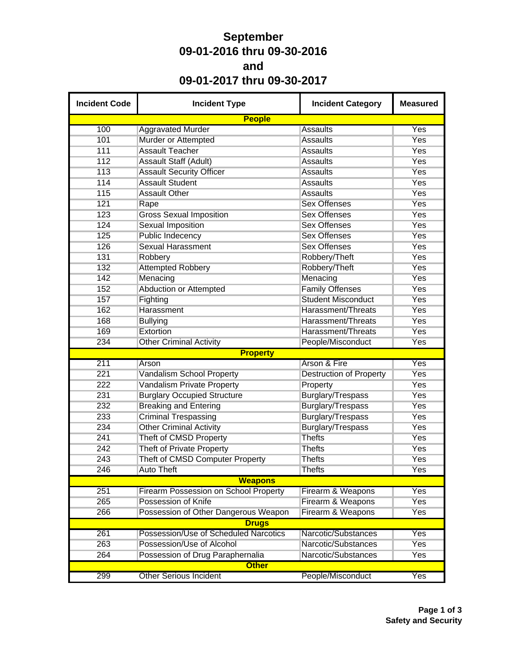## **September 09-01-2016 thru 09-30-2016 and 09-01-2017 thru 09-30-2017**

| <b>Incident Code</b> | <b>Incident Type</b>                         | <b>Incident Category</b>       | <b>Measured</b> |
|----------------------|----------------------------------------------|--------------------------------|-----------------|
|                      | <b>People</b>                                |                                |                 |
| 100                  | <b>Aggravated Murder</b>                     | <b>Assaults</b>                | Yes             |
| 101                  | Murder or Attempted                          | <b>Assaults</b>                | <b>Yes</b>      |
| 111                  | <b>Assault Teacher</b>                       | <b>Assaults</b>                | Yes             |
| 112                  | Assault Staff (Adult)                        | <b>Assaults</b>                | Yes             |
| 113                  | <b>Assault Security Officer</b>              | <b>Assaults</b>                | Yes             |
| 114                  | <b>Assault Student</b>                       | <b>Assaults</b>                | <b>Yes</b>      |
| 115                  | <b>Assault Other</b>                         | <b>Assaults</b>                | <b>Yes</b>      |
| 121                  | Rape                                         | <b>Sex Offenses</b>            | Yes             |
| 123                  | <b>Gross Sexual Imposition</b>               | <b>Sex Offenses</b>            | Yes             |
| 124                  | <b>Sexual Imposition</b>                     | <b>Sex Offenses</b>            | <b>Yes</b>      |
| 125                  | <b>Public Indecency</b>                      | <b>Sex Offenses</b>            | Yes             |
| 126                  | <b>Sexual Harassment</b>                     | <b>Sex Offenses</b>            | Yes             |
| 131                  | Robbery                                      | Robbery/Theft                  | Yes             |
| 132                  | <b>Attempted Robbery</b>                     | Robbery/Theft                  | <b>Yes</b>      |
| 142                  | Menacing                                     | Menacing                       | Yes             |
| 152                  | Abduction or Attempted                       | <b>Family Offenses</b>         | Yes             |
| 157                  | Fighting                                     | <b>Student Misconduct</b>      | Yes             |
| 162                  | Harassment                                   | Harassment/Threats             | Yes             |
| 168                  | <b>Bullying</b>                              | Harassment/Threats             | Yes             |
| 169                  | Extortion                                    | Harassment/Threats             | Yes             |
| 234                  | <b>Other Criminal Activity</b>               | People/Misconduct              | Yes             |
|                      | <b>Property</b>                              |                                |                 |
| 211                  | Arson                                        | Arson & Fire                   | Yes             |
| 221                  | Vandalism School Property                    | <b>Destruction of Property</b> | <b>Yes</b>      |
| 222                  | <b>Vandalism Private Property</b>            | Property                       | Yes             |
| 231                  | <b>Burglary Occupied Structure</b>           | Burglary/Trespass              | Yes             |
| 232                  | <b>Breaking and Entering</b>                 | <b>Burglary/Trespass</b>       | Yes             |
| 233                  | <b>Criminal Trespassing</b>                  | Burglary/Trespass              | <b>Yes</b>      |
| 234                  | <b>Other Criminal Activity</b>               | Burglary/Trespass              | Yes             |
| 241                  | Theft of CMSD Property                       | <b>Thefts</b>                  | Yes             |
| 242                  | <b>Theft of Private Property</b>             | <b>Thefts</b>                  | Yes             |
| 243                  | Theft of CMSD Computer Property              | <b>Thefts</b>                  | Yes             |
| 246                  | <b>Auto Theft</b>                            | <b>Thefts</b>                  | Yes             |
|                      | <b>Weapons</b>                               |                                |                 |
| 251                  | <b>Firearm Possession on School Property</b> | Firearm & Weapons              | <b>Yes</b>      |
| 265                  | Possession of Knife                          | Firearm & Weapons              | <b>Yes</b>      |
| 266                  | Possession of Other Dangerous Weapon         | Firearm & Weapons              | Yes             |
|                      | <b>Drugs</b>                                 |                                |                 |
| 261                  | Possession/Use of Scheduled Narcotics        | Narcotic/Substances            | Yes             |
| 263                  | Possession/Use of Alcohol                    | Narcotic/Substances            | <b>Yes</b>      |
| 264                  | Possession of Drug Paraphernalia             | Narcotic/Substances            | Yes             |
|                      | <b>Other</b>                                 |                                |                 |
| 299                  | <b>Other Serious Incident</b>                | People/Misconduct              | Yes             |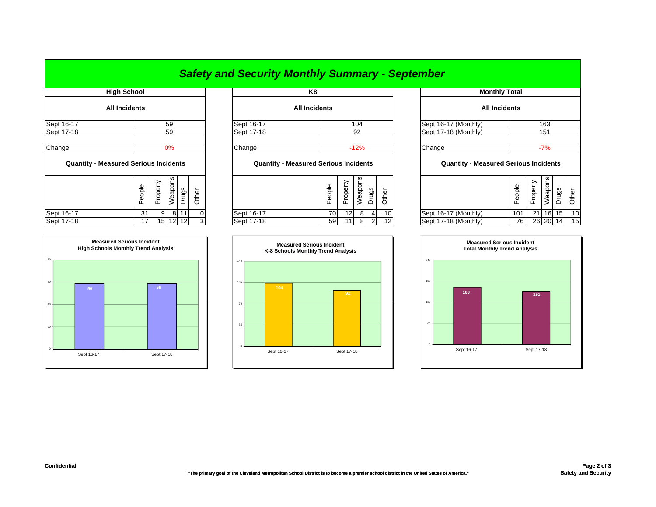|            |                                                 | <b>Safety and Security Monthly Summary - September</b> |                                              |                      |                                              |                                                 |  |  |  |  |  |  |
|------------|-------------------------------------------------|--------------------------------------------------------|----------------------------------------------|----------------------|----------------------------------------------|-------------------------------------------------|--|--|--|--|--|--|
|            | <b>High School</b>                              |                                                        | K <sub>8</sub>                               |                      |                                              | <b>Monthly Total</b>                            |  |  |  |  |  |  |
|            | <b>All Incidents</b>                            |                                                        | <b>All Incidents</b>                         |                      | <b>All Incidents</b>                         |                                                 |  |  |  |  |  |  |
| Sept 16-17 | 59                                              | Sept 16-17                                             | 104                                          |                      | Sept 16-17 (Monthly)                         | 163                                             |  |  |  |  |  |  |
| Sept 17-18 | 59                                              | Sept 17-18                                             | 92                                           |                      | Sept 17-18 (Monthly)                         | 151                                             |  |  |  |  |  |  |
| Change     | 0%                                              | Change                                                 | $-12%$                                       |                      | Change                                       | $-7%$                                           |  |  |  |  |  |  |
|            | <b>Quantity - Measured Serious Incidents</b>    |                                                        | <b>Quantity - Measured Serious Incidents</b> |                      | <b>Quantity - Measured Serious Incidents</b> |                                                 |  |  |  |  |  |  |
|            | Weapons<br>Property<br>People<br>Drugs<br>Other |                                                        | Weapons<br>Property<br>People                | Drugs<br>Other       |                                              | Weapons<br>Property<br>People<br>Drugs<br>Other |  |  |  |  |  |  |
| Sept 16-17 | 11<br>31<br>8<br>9                              | Sept 16-17                                             | 70<br>12 <sup>1</sup>                        | 10<br>8              | Sept 16-17 (Monthly)                         | 101<br>$21$ 16<br>10<br>15 <sup>1</sup>         |  |  |  |  |  |  |
| Sept 17-18 | 15 12 12<br>17 <sub>1</sub>                     | Sept 17-18                                             | 59<br>8                                      | $\overline{2}$<br>12 | Sept 17-18 (Monthly)                         | 76<br>26 20 14<br>15                            |  |  |  |  |  |  |

| <b>Measured Serious Incident</b><br><b>High Schools Monthly Trend Analysis</b> |            |  |            |  |  |  |  |  |  |  |  |
|--------------------------------------------------------------------------------|------------|--|------------|--|--|--|--|--|--|--|--|
|                                                                                |            |  |            |  |  |  |  |  |  |  |  |
|                                                                                |            |  |            |  |  |  |  |  |  |  |  |
|                                                                                | 59         |  | 59         |  |  |  |  |  |  |  |  |
|                                                                                |            |  |            |  |  |  |  |  |  |  |  |
|                                                                                |            |  |            |  |  |  |  |  |  |  |  |
|                                                                                |            |  |            |  |  |  |  |  |  |  |  |
|                                                                                | Sept 16-17 |  | Sept 17-18 |  |  |  |  |  |  |  |  |
|                                                                                |            |  |            |  |  |  |  |  |  |  |  |

|            | aple<br>Œ. | roperty | ഗ<br>∩<br>₹<br>≥ | rugs | Other |
|------------|------------|---------|------------------|------|-------|
| Sept 16-17 | 70         | 12      | 8                |      |       |
| Sept 17-18 | 59         |         | Զ                |      | 12    |



| <b>Monthly Total</b>        |                                              |          |         |       |       |  |  |  |  |  |  |  |  |  |
|-----------------------------|----------------------------------------------|----------|---------|-------|-------|--|--|--|--|--|--|--|--|--|
| <b>All Incidents</b>        |                                              |          |         |       |       |  |  |  |  |  |  |  |  |  |
| Sept 16-17 (Monthly)<br>163 |                                              |          |         |       |       |  |  |  |  |  |  |  |  |  |
| Sept 17-18 (Monthly)        |                                              | 151      |         |       |       |  |  |  |  |  |  |  |  |  |
|                             |                                              |          |         |       |       |  |  |  |  |  |  |  |  |  |
| Change                      |                                              |          | $-7%$   |       |       |  |  |  |  |  |  |  |  |  |
|                             | <b>Quantity - Measured Serious Incidents</b> |          |         |       |       |  |  |  |  |  |  |  |  |  |
|                             | People                                       | Property | Weapons | Drugs | Other |  |  |  |  |  |  |  |  |  |
| Sept 16-17 (Monthly)        | 101                                          | 21       | 16      | 15    | 10    |  |  |  |  |  |  |  |  |  |
| Sept 17-18 (Monthly)        | 76                                           | 26       | 20      | 14    | 15    |  |  |  |  |  |  |  |  |  |